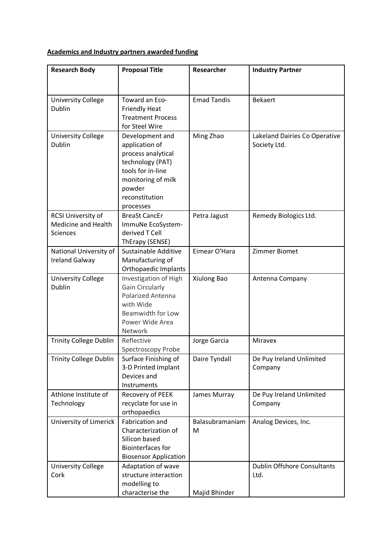## **Academics and Industry partners awarded funding**

| <b>Research Body</b>                                         | <b>Proposal Title</b>                                                                                                                                           | <b>Researcher</b>    | <b>Industry Partner</b>                       |
|--------------------------------------------------------------|-----------------------------------------------------------------------------------------------------------------------------------------------------------------|----------------------|-----------------------------------------------|
|                                                              |                                                                                                                                                                 |                      |                                               |
| <b>University College</b><br><b>Dublin</b>                   | Toward an Eco-<br><b>Friendly Heat</b><br><b>Treatment Process</b><br>for Steel Wire                                                                            | <b>Emad Tandis</b>   | <b>Bekaert</b>                                |
| <b>University College</b><br>Dublin                          | Development and<br>application of<br>process analytical<br>technology (PAT)<br>tools for in-line<br>monitoring of milk<br>powder<br>reconstitution<br>processes | Ming Zhao            | Lakeland Dairies Co Operative<br>Society Ltd. |
| RCSI University of<br><b>Medicine and Health</b><br>Sciences | <b>BreaSt CancEr</b><br>ImmuNe EcoSystem-<br>derived T Cell<br>ThErapy (SENSE)                                                                                  | Petra Jagust         | Remedy Biologics Ltd.                         |
| National University of<br><b>Ireland Galway</b>              | Sustainable Additive<br>Manufacturing of<br>Orthopaedic Implants                                                                                                | Eimear O'Hara        | <b>Zimmer Biomet</b>                          |
| <b>University College</b><br><b>Dublin</b>                   | Investigation of High<br><b>Gain Circularly</b><br><b>Polarized Antenna</b><br>with Wide<br>Beamwidth for Low<br>Power Wide Area<br>Network                     | Xiulong Bao          | Antenna Company                               |
| <b>Trinity College Dublin</b>                                | Reflective<br>Spectroscopy Probe                                                                                                                                | Jorge Garcia         | <b>Miravex</b>                                |
| <b>Trinity College Dublin</b>                                | Surface Finishing of<br>3-D Printed Implant<br>Devices and<br>Instruments                                                                                       | Daire Tyndall        | De Puy Ireland Unlimited<br>Company           |
| Athlone Institute of<br>Technology                           | Recovery of PEEK<br>recyclate for use in<br>orthopaedics                                                                                                        | James Murray         | De Puy Ireland Unlimited<br>Company           |
| University of Limerick                                       | <b>Fabrication and</b><br>Characterization of<br>Silicon based<br><b>Biointerfaces for</b><br><b>Biosensor Application</b>                                      | Balasubramaniam<br>M | Analog Devices, Inc.                          |
| <b>University College</b><br>Cork                            | Adaptation of wave<br>structure interaction<br>modelling to<br>characterise the                                                                                 | Majid Bhinder        | <b>Dublin Offshore Consultants</b><br>Ltd.    |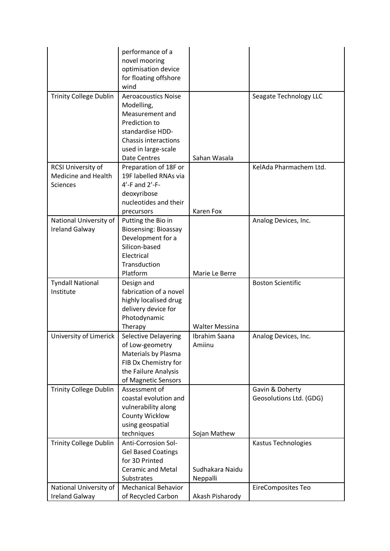|                                                                     | performance of a<br>novel mooring<br>optimisation device<br>for floating offshore<br>wind                                                              |                             |                                            |
|---------------------------------------------------------------------|--------------------------------------------------------------------------------------------------------------------------------------------------------|-----------------------------|--------------------------------------------|
| <b>Trinity College Dublin</b>                                       | <b>Aeroacoustics Noise</b><br>Modelling,<br>Measurement and<br>Prediction to<br>standardise HDD-<br><b>Chassis interactions</b><br>used in large-scale |                             | Seagate Technology LLC                     |
|                                                                     | <b>Date Centres</b>                                                                                                                                    | Sahan Wasala                |                                            |
| RCSI University of<br><b>Medicine and Health</b><br><b>Sciences</b> | Preparation of 18F or<br>19F labelled RNAs via<br>$4'$ -F and $2'$ -F-<br>deoxyribose<br>nucleotides and their<br>precursors                           | <b>Karen Fox</b>            | KelAda Pharmachem Ltd.                     |
| National University of                                              | Putting the Bio in                                                                                                                                     |                             | Analog Devices, Inc.                       |
| <b>Ireland Galway</b>                                               | <b>Biosensing: Bioassay</b><br>Development for a<br>Silicon-based<br>Electrical<br>Transduction<br>Platform                                            | Marie Le Berre              |                                            |
| <b>Tyndall National</b>                                             | Design and                                                                                                                                             |                             | <b>Boston Scientific</b>                   |
| Institute                                                           | fabrication of a novel<br>highly localised drug<br>delivery device for<br>Photodynamic                                                                 |                             |                                            |
|                                                                     | Therapy                                                                                                                                                | <b>Walter Messina</b>       |                                            |
| University of Limerick                                              | Selective Delayering<br>of Low-geometry<br>Materials by Plasma<br>FIB Dx Chemistry for<br>the Failure Analysis<br>of Magnetic Sensors                  | Ibrahim Saana<br>Amiinu     | Analog Devices, Inc.                       |
| <b>Trinity College Dublin</b>                                       | Assessment of<br>coastal evolution and<br>vulnerability along<br><b>County Wicklow</b><br>using geospatial                                             |                             | Gavin & Doherty<br>Geosolutions Ltd. (GDG) |
|                                                                     | techniques                                                                                                                                             | Sojan Mathew                |                                            |
| <b>Trinity College Dublin</b>                                       | Anti-Corrosion Sol-<br><b>Gel Based Coatings</b><br>for 3D Printed<br><b>Ceramic and Metal</b><br>Substrates                                           | Sudhakara Naidu<br>Neppalli | Kastus Technologies                        |
| National University of                                              | <b>Mechanical Behavior</b>                                                                                                                             |                             | <b>EireComposites Teo</b>                  |
| <b>Ireland Galway</b>                                               | of Recycled Carbon                                                                                                                                     | Akash Pisharody             |                                            |